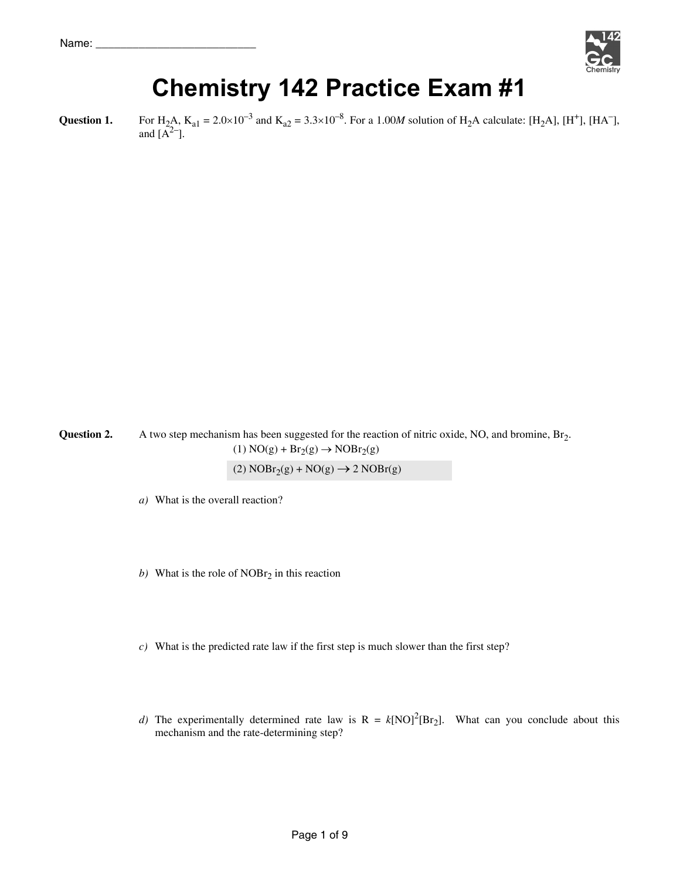

# **Chemistry 142 Practice Exam #1**

**Question 1.** For H<sub>2</sub>A, K<sub>a1</sub> = 2.0×10<sup>-3</sup> and K<sub>a2</sub> = 3.3×10<sup>-8</sup>. For a 1.00*M* solution of H<sub>2</sub>A calculate: [H<sub>2</sub>A], [H<sup>+</sup>], [HA<sup>-</sup>], and  $[A<sup>2</sup>-]$ .

**Question 2.** A two step mechanism has been suggested for the reaction of nitric oxide, NO, and bromine, Br<sub>2</sub>.  $(1) NO(g) + Br<sub>2</sub>(g) \rightarrow NOBr<sub>2</sub>(g)$ 

(2)  $NORr_2(g) + NO(g) \rightarrow 2 NOBr(g)$ 

*a*) What is the overall reaction?

- *b*) What is the role of  $NOBr<sub>2</sub>$  in this reaction
- *c)* What is the predicted rate law if the first step is much slower than the first step?
- *d*) The experimentally determined rate law is  $R = k[NO]^2[Br_2]$ . What can you conclude about this mechanism and the rate-determining step?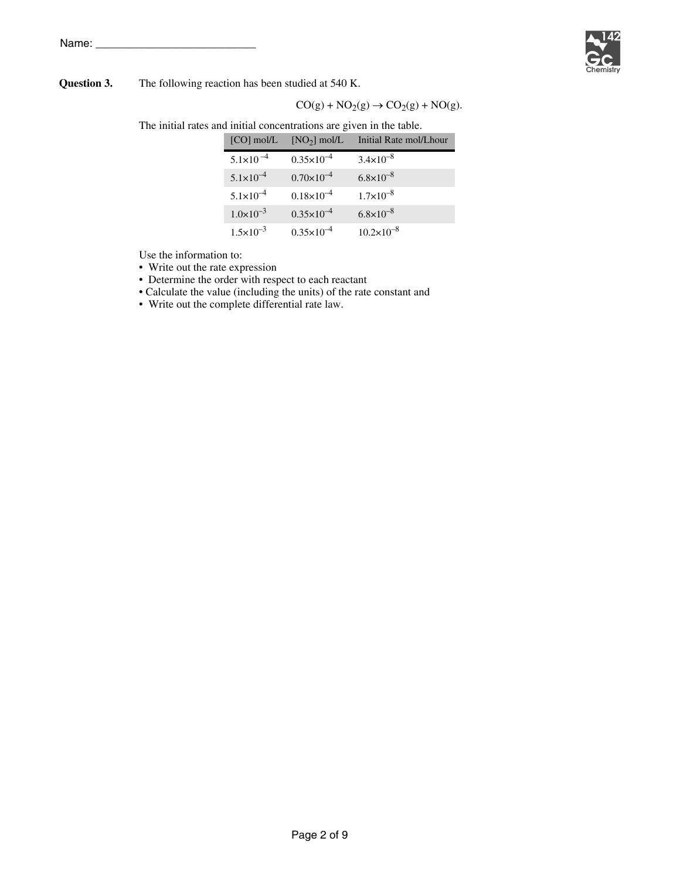Name:



#### **Question 3.** The following reaction has been studied at 540 K.

 $CO(g) + NO_2(g) \rightarrow CO_2(g) + NO(g).$ 

The initial rates and initial concentrations are given in the table.

| $[CO]$ mol/L         | $[NO2]$ mol/L         | Initial Rate mol/Lhour |
|----------------------|-----------------------|------------------------|
| $5.1 \times 10^{-4}$ | $0.35 \times 10^{-4}$ | $3.4 \times 10^{-8}$   |
| $5.1 \times 10^{-4}$ | $0.70\times10^{-4}$   | $6.8 \times 10^{-8}$   |
| $5.1 \times 10^{-4}$ | $0.18 \times 10^{-4}$ | $1.7\times10^{-8}$     |
| $1.0 \times 10^{-3}$ | $0.35 \times 10^{-4}$ | $6.8 \times 10^{-8}$   |
| $1.5 \times 10^{-3}$ | $0.35 \times 10^{-4}$ | $10.2 \times 10^{-8}$  |

Use the information to:

- Write out the rate expression
- Determine the order with respect to each reactant
- Calculate the value (including the units) of the rate constant and
- Write out the complete differential rate law.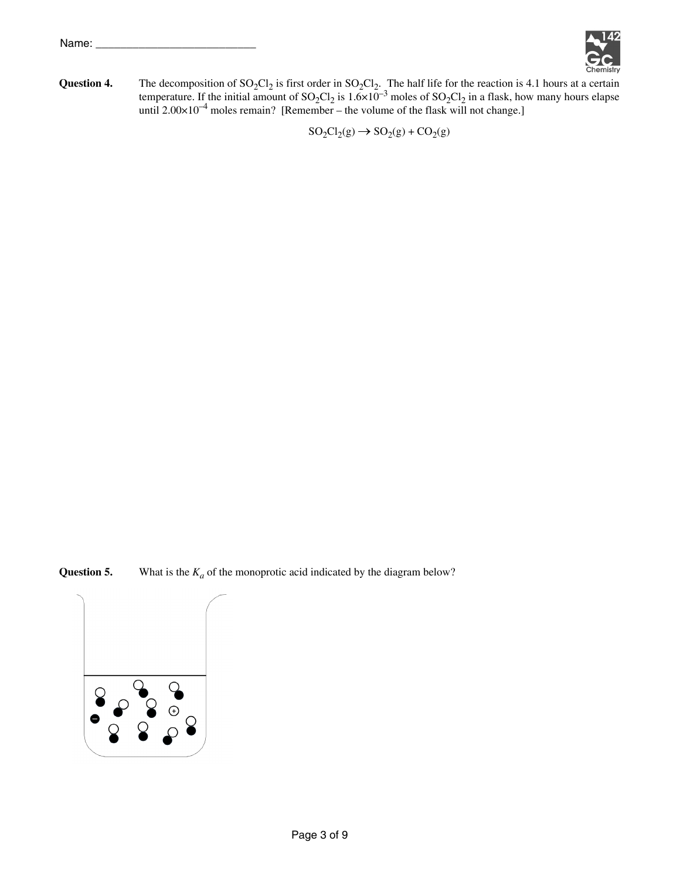

**Question 4.** The decomposition of  $SO_2Cl_2$  is first order in  $SO_2Cl_2$ . The half life for the reaction is 4.1 hours at a certain temperature. If the initial amount of  $SO_2Cl_2$  is  $1.6 \times 10^{-3}$  moles of  $SO_2Cl_2$  in a flask, how many hours elapse until  $2.00 \times 10^{-4}$  moles remain? [Remember – the volume of the flask will not change.]

 $SO_2Cl_2(g) \rightarrow SO_2(g) + CO_2(g)$ 

**Question 5.** What is the  $K_a$  of the monoprotic acid indicated by the diagram below?

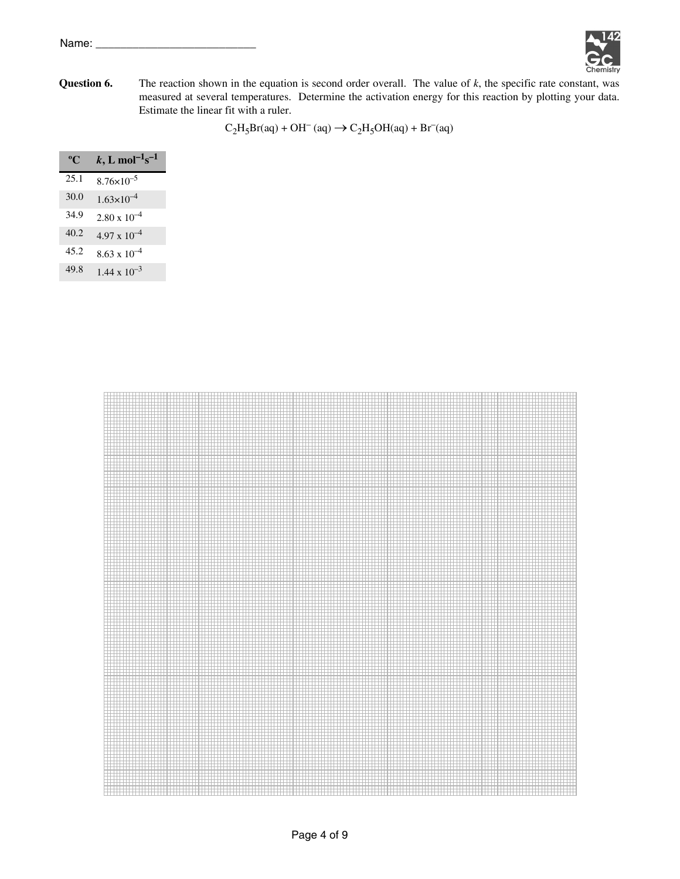

**Question 6.** The reaction shown in the equation is second order overall. The value of *k*, the specific rate constant, was measured at several temperatures. Determine the activation energy for this reaction by plotting your data. Estimate the linear fit with a ruler.

 $C_2H_5Br(aq) + OH^-(aq) \rightarrow C_2H_5OH(aq) + Br^-(aq)$ 

| $\rm ^o$ C | $k, L \text{ mol}^{-1} \text{s}^{-1}$ |
|------------|---------------------------------------|
| 25.1       | $8.76 \times 10^{-5}$                 |
| 30.0       | $1.63\times10^{-4}$                   |
| 34.9       | $2.80 \times 10^{-4}$                 |
| 40.2       | $4.97 \times 10^{-4}$                 |
| 45.2       | $8.63 \times 10^{-4}$                 |
| 49.8       | $1.44 \times 10^{-3}$                 |

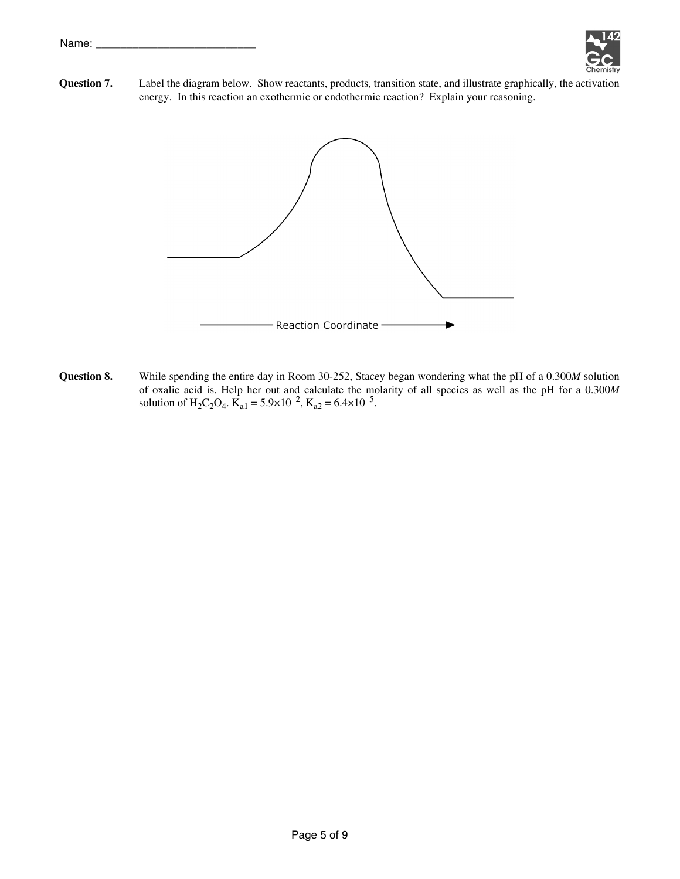

**Question 7.** Label the diagram below. Show reactants, products, transition state, and illustrate graphically, the activation energy. In this reaction an exothermic or endothermic reaction? Explain your reasoning.



**Question 8.** While spending the entire day in Room 30-252, Stacey began wondering what the pH of a 0.300*M* solution of oxalic acid is. Help her out and calculate the molarity of all species as well as the pH for a 0.300*M* solution of H<sub>2</sub>C<sub>2</sub>O<sub>4</sub>.  $\text{K}_{a1} = 5.9 \times 10^{-2}$ ,  $\text{K}_{a2} = 6.4 \times 10^{-5}$ .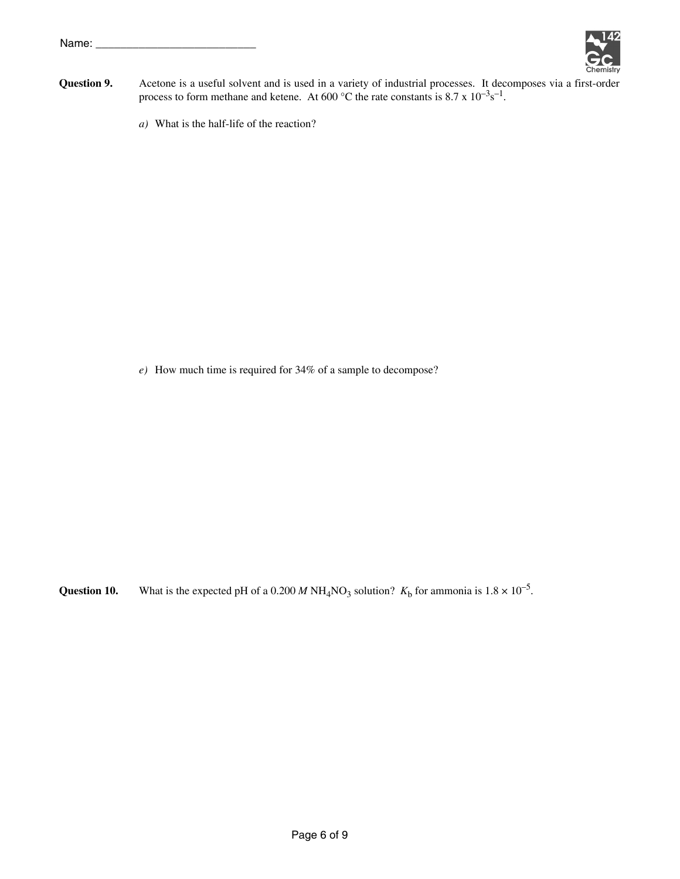

- **Question 9.** Acetone is a useful solvent and is used in a variety of industrial processes. It decomposes via a first-order process to form methane and ketene. At 600 °C the rate constants is 8.7 x  $10^{-3}$ s<sup>-1</sup>.
	- *a)* What is the half-life of the reaction?

*e)* How much time is required for 34% of a sample to decompose?

**Question 10.** What is the expected pH of a 0.200 *M* NH<sub>4</sub>NO<sub>3</sub> solution?  $K_b$  for ammonia is  $1.8 \times 10^{-5}$ .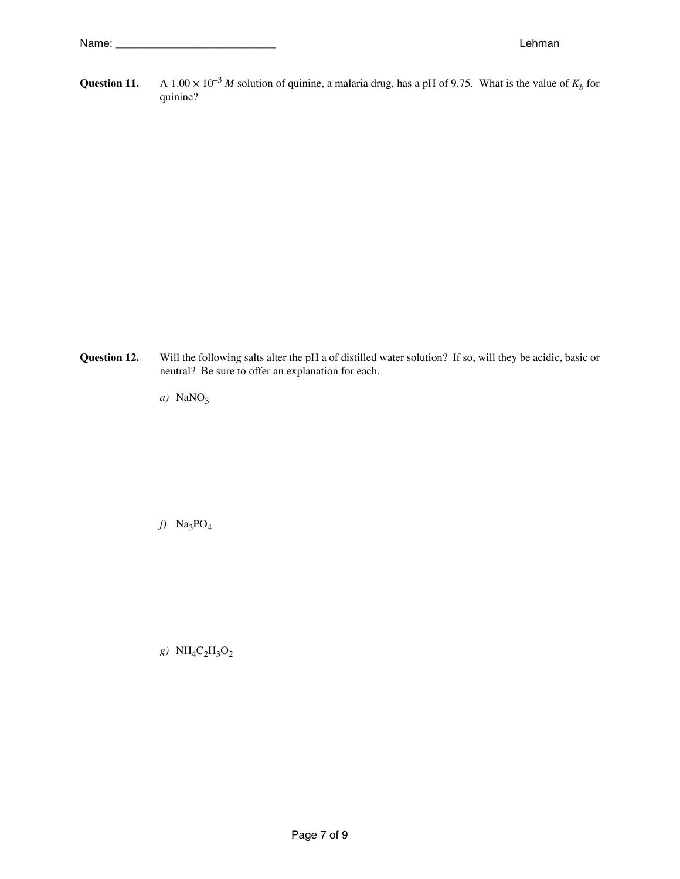**Question 11.** A 1.00  $\times$  10<sup>-3</sup> *M* solution of quinine, a malaria drug, has a pH of 9.75. What is the value of  $K_b$  for quinine?

**Question 12.** Will the following salts alter the pH a of distilled water solution? If so, will they be acidic, basic or neutral? Be sure to offer an explanation for each.

*a*) NaNO<sub>3</sub>

*f)* Na3PO4

*g)* NH4C2H3O2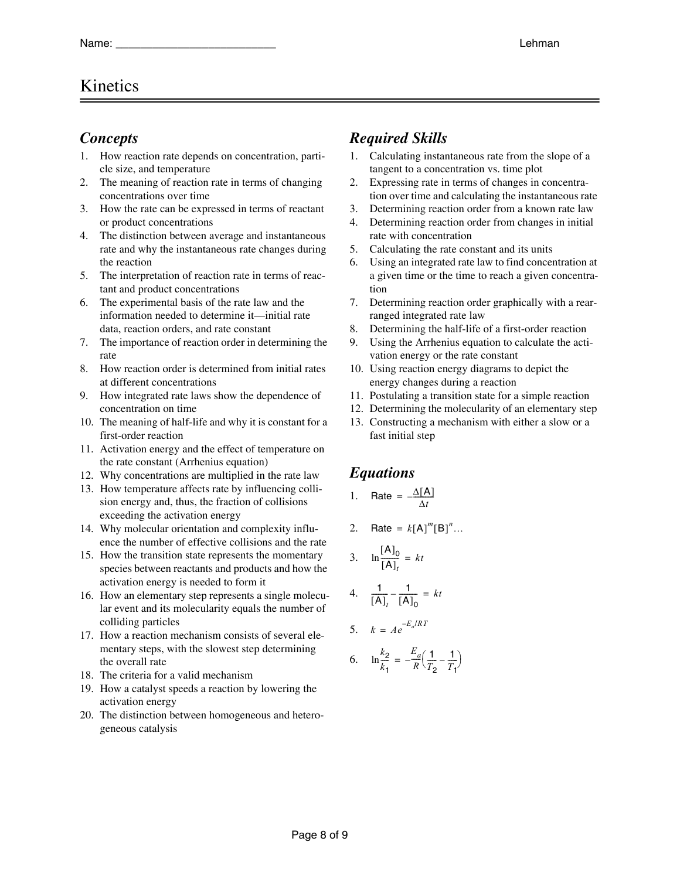# Kinetics

### *Concepts*

- 1. How reaction rate depends on concentration, particle size, and temperature
- 2. The meaning of reaction rate in terms of changing concentrations over time
- 3. How the rate can be expressed in terms of reactant or product concentrations
- 4. The distinction between average and instantaneous rate and why the instantaneous rate changes during the reaction
- 5. The interpretation of reaction rate in terms of reactant and product concentrations
- 6. The experimental basis of the rate law and the information needed to determine it—initial rate data, reaction orders, and rate constant
- 7. The importance of reaction order in determining the rate
- 8. How reaction order is determined from initial rates at different concentrations
- 9. How integrated rate laws show the dependence of concentration on time
- 10. The meaning of half-life and why it is constant for a first-order reaction
- 11. Activation energy and the effect of temperature on the rate constant (Arrhenius equation)
- 12. Why concentrations are multiplied in the rate law
- 13. How temperature affects rate by influencing collision energy and, thus, the fraction of collisions exceeding the activation energy
- 14. Why molecular orientation and complexity influence the number of effective collisions and the rate
- 15. How the transition state represents the momentary species between reactants and products and how the activation energy is needed to form it
- 16. How an elementary step represents a single molecular event and its molecularity equals the number of colliding particles
- 17. How a reaction mechanism consists of several elementary steps, with the slowest step determining the overall rate
- 18. The criteria for a valid mechanism
- 19. How a catalyst speeds a reaction by lowering the activation energy
- 20. The distinction between homogeneous and heterogeneous catalysis

# *Required Skills*

- 1. Calculating instantaneous rate from the slope of a tangent to a concentration vs. time plot
- 2. Expressing rate in terms of changes in concentration over time and calculating the instantaneous rate
- 3. Determining reaction order from a known rate law
- 4. Determining reaction order from changes in initial rate with concentration
- 5. Calculating the rate constant and its units
- 6. Using an integrated rate law to find concentration at a given time or the time to reach a given concentration
- 7. Determining reaction order graphically with a rearranged integrated rate law
- 8. Determining the half-life of a first-order reaction
- 9. Using the Arrhenius equation to calculate the activation energy or the rate constant
- 10. Using reaction energy diagrams to depict the energy changes during a reaction
- 11. Postulating a transition state for a simple reaction
- 12. Determining the molecularity of an elementary step
- 13. Constructing a mechanism with either a slow or a fast initial step

# *Equations*

- 1.  $\text{Rate} = -\frac{\Delta[A]}{\Delta t}$
- 2.  $Rate = k[A]^{m}[B]^{n}...$

$$
3. \quad \ln\frac{[A]_0}{[A]_t} = kt
$$

4.  $\frac{1}{4}$  $\left[ \mathsf{A} \right]_t$  $\frac{1}{2}$  –  $\frac{1}{2}$  $-\frac{1}{[A]_0} = kt$ 

$$
5. \quad k = Ae^{-E_a/RT}
$$

6. 
$$
\ln \frac{k_2}{k_1} = -\frac{E_a}{R} \left( \frac{1}{T_2} - \frac{1}{T_1} \right)
$$